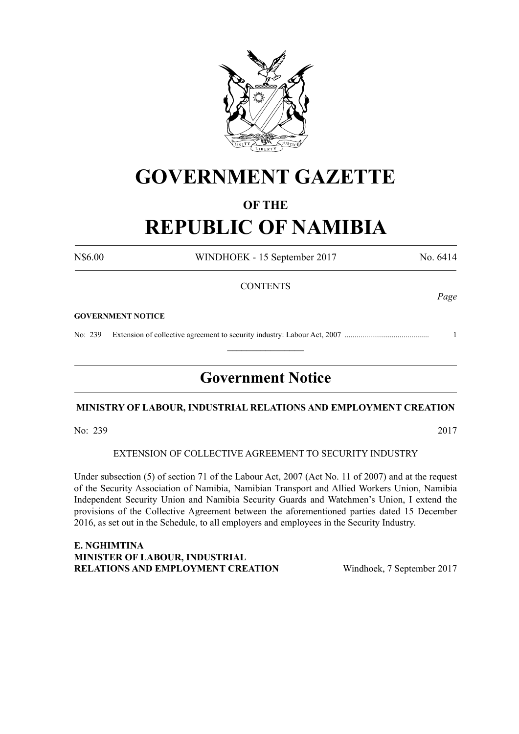

## **GOVERNMENT GAZETTE**

### **OF THE**

# **REPUBLIC OF NAMIBIA**

N\$6.00 WINDHOEK - 15 September 2017 No. 6414

*Page*

#### **CONTENTS**

**GOVERNMENT NOTICE**

No: 239 Extension of collective agreement to security industry: Labour Act, 2007 ........................................... 1

## **Government Notice**

 $\frac{1}{2}$ 

### **Ministry of Labour, Industrial Relations and Employment Creation**

No: 239 2017

#### EXTENSION OF COLLECTIVE AGREEMENT TO SECURITY INDUSTRY

Under subsection (5) of section 71 of the Labour Act, 2007 (Act No. 11 of 2007) and at the request of the Security Association of Namibia, Namibian Transport and Allied Workers Union, Namibia Independent Security Union and Namibia Security Guards and Watchmen's Union, I extend the provisions of the Collective Agreement between the aforementioned parties dated 15 December 2016, as set out in the Schedule, to all employers and employees in the Security Industry.

**E. NGHIMTINA MINISTER OF LABOUR, INDUSTRIAL RELATIONS AND EMPLOYMENT CREATION** Windhoek, 7 September 2017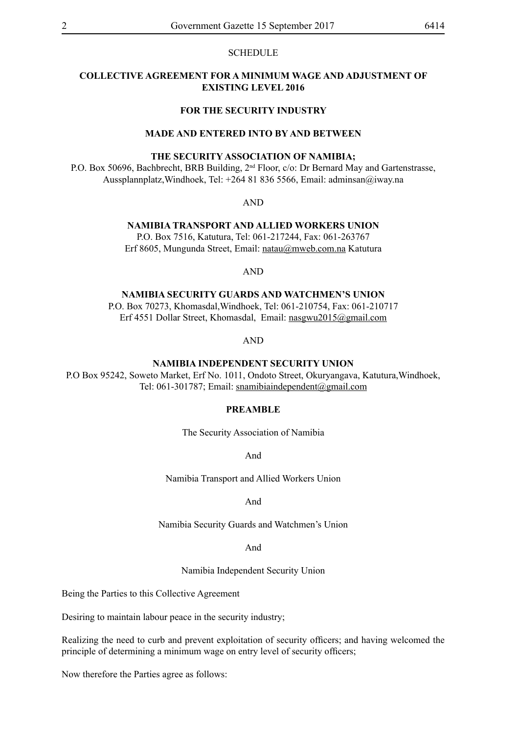#### **SCHEDULE**

#### **COLLECTIVE AGREEMENT FOR A MINIMUM WAGE AND ADJUSTMENT OF EXISTING LEVEL 2016**

#### **FOR THE SECURITY INDUSTRY**

#### **MADE AND ENTERED INTO BY AND BETWEEN**

#### **THE SECURITY ASSOCIATION OF NAMIBIA;**

P.O. Box 50696, Bachbrecht, BRB Building, 2<sup>nd</sup> Floor, c/o: Dr Bernard May and Gartenstrasse, Aussplannplatz,Windhoek, Tel: +264 81 836 5566, Email: adminsan@iway.na

AND

#### **NAMIBIA TRANSPORT AND ALLIED WORKERS UNION**

P.O. Box 7516, Katutura, Tel: 061-217244, Fax: 061-263767 Erf 8605, Mungunda Street, Email: natau@mweb.com.na Katutura

AND

**NAMIBIA SECURITY GUARDS AND WATCHMEN'S UNION**

P.O. Box 70273, Khomasdal,Windhoek, Tel: 061-210754, Fax: 061-210717 Erf 4551 Dollar Street, Khomasdal, Email: nasgwu2015@gmail.com

AND

**NAMIBIA INDEPENDENT SECURITY UNION**

P.O Box 95242, Soweto Market, Erf No. 1011, Ondoto Street, Okuryangava, Katutura,Windhoek, Tel: 061-301787; Email: snamibiaindependent@gmail.com

#### **PREAMBLE**

The Security Association of Namibia

And

Namibia Transport and Allied Workers Union

#### And

Namibia Security Guards and Watchmen's Union

And

Namibia Independent Security Union

Being the Parties to this Collective Agreement

Desiring to maintain labour peace in the security industry;

Realizing the need to curb and prevent exploitation of security officers; and having welcomed the principle of determining a minimum wage on entry level of security officers;

Now therefore the Parties agree as follows: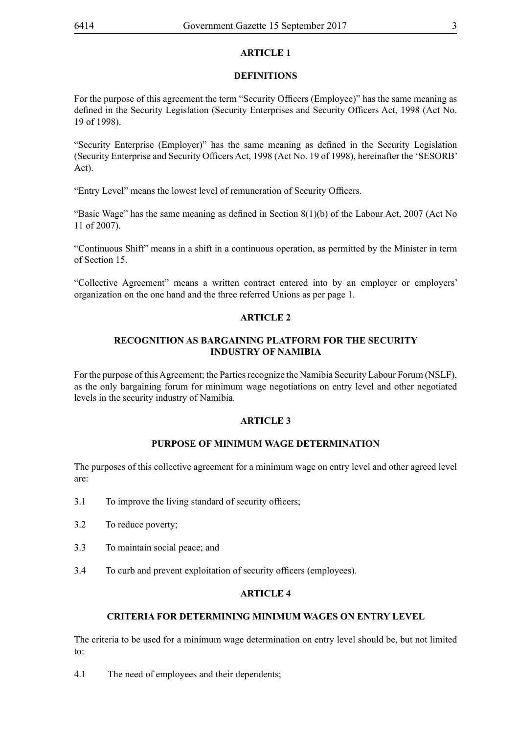#### **DEFINITIONS**

For the purpose of this agreement the term "Security Officers (Employee)" has the same meaning as defined in the Security Legislation (Security Enterprises and Security Officers Act, 1998 (Act No. 19 of 1998).

"Security Enterprise (Employer)" has the same meaning as defined in the Security Legislation (Security Enterprise and Security Officers Act, 1998 (Act No. 19 of 1998), hereinafter the 'SESORB' Act).

"Entry Level" means the lowest level of remuneration of Security Officers.

"Basic Wage" has the same meaning as defined in Section 8(1)(b) of the Labour Act, 2007 (Act No 11 of 2007).

"Continuous Shift" means in a shift in a continuous operation, as permitted by the Minister in term of Section 15.

"Collective Agreement" means a written contract entered into by an employer or employers' organization on the one hand and the three referred Unions as per page 1.

### **ARTICLE 2**

#### **RECOGNITION AS BARGAINING PLATFORM FOR THE SECURITY INDUSTRY OF NAMIBIA**

For the purpose of this Agreement; the Parties recognize the Namibia Security Labour Forum (NSLF), as the only bargaining forum for minimum wage negotiations on entry level and other negotiated levels in the security industry of Namibia.

#### **ARTICLE 3**

### **PURPOSE OF MINIMUM WAGE DETERMINATION**

The purposes of this collective agreement for a minimum wage on entry level and other agreed level are:

- 3.1 To improve the living standard of security officers;
- 3.2 To reduce poverty;
- 3.3 To maintain social peace; and
- 3.4 To curb and prevent exploitation of security officers (employees).

### **ARTICLE 4**

#### **CRITERIA FOR DETERMINING MINIMUM WAGES ON ENTRY LEVEL**

The criteria to be used for a minimum wage determination on entry level should be, but not limited to:

4.1 The need of employees and their dependents;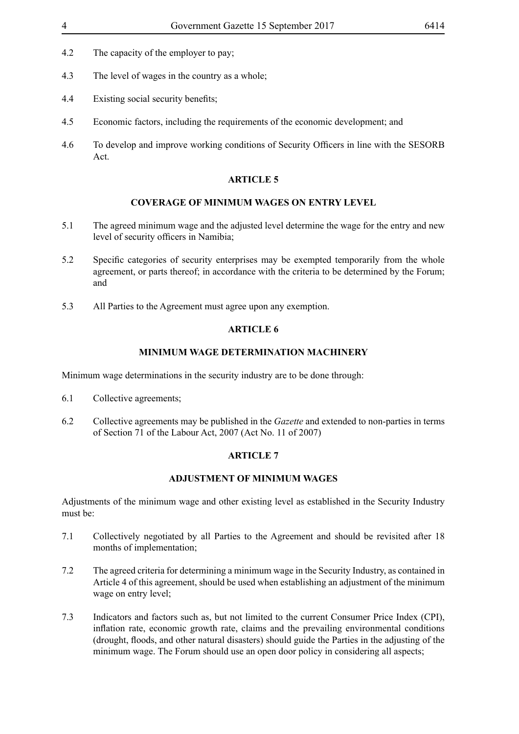- 4.2 The capacity of the employer to pay;
- 4.3 The level of wages in the country as a whole;
- 4.4 Existing social security benefits;
- 4.5 Economic factors, including the requirements of the economic development; and
- 4.6 To develop and improve working conditions of Security Officers in line with the SESORB Act.

#### **COVERAGE OF MINIMUM WAGES ON ENTRY LEVEL**

- 5.1 The agreed minimum wage and the adjusted level determine the wage for the entry and new level of security officers in Namibia;
- 5.2 Specific categories of security enterprises may be exempted temporarily from the whole agreement, or parts thereof; in accordance with the criteria to be determined by the Forum; and
- 5.3 All Parties to the Agreement must agree upon any exemption.

#### **ARTICLE 6**

#### **MINIMUM WAGE DETERMINATION MACHINERY**

Minimum wage determinations in the security industry are to be done through:

- 6.1 Collective agreements;
- 6.2 Collective agreements may be published in the *Gazette* and extended to non-parties in terms of Section 71 of the Labour Act, 2007 (Act No. 11 of 2007)

#### **ARTICLE 7**

#### **ADJUSTMENT OF MINIMUM WAGES**

Adjustments of the minimum wage and other existing level as established in the Security Industry must be:

- 7.1 Collectively negotiated by all Parties to the Agreement and should be revisited after 18 months of implementation;
- 7.2 The agreed criteria for determining a minimum wage in the Security Industry, as contained in Article 4 of this agreement, should be used when establishing an adjustment of the minimum wage on entry level;
- 7.3 Indicators and factors such as, but not limited to the current Consumer Price Index (CPI), inflation rate, economic growth rate, claims and the prevailing environmental conditions (drought, floods, and other natural disasters) should guide the Parties in the adjusting of the minimum wage. The Forum should use an open door policy in considering all aspects;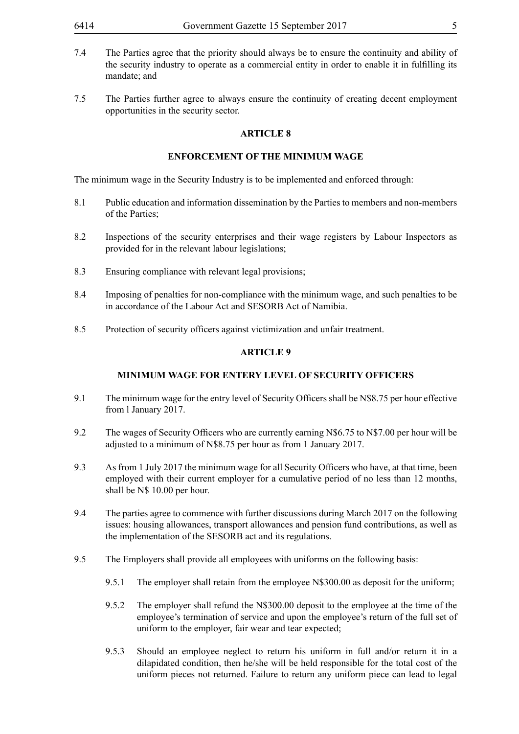- 7.4 The Parties agree that the priority should always be to ensure the continuity and ability of the security industry to operate as a commercial entity in order to enable it in fulfilling its mandate; and
- 7.5 The Parties further agree to always ensure the continuity of creating decent employment opportunities in the security sector.

#### **ENFORCEMENT OF THE MINIMUM WAGE**

The minimum wage in the Security Industry is to be implemented and enforced through:

- 8.1 Public education and information dissemination by the Parties to members and non-members of the Parties;
- 8.2 Inspections of the security enterprises and their wage registers by Labour Inspectors as provided for in the relevant labour legislations;
- 8.3 Ensuring compliance with relevant legal provisions;
- 8.4 Imposing of penalties for non-compliance with the minimum wage, and such penalties to be in accordance of the Labour Act and SESORB Act of Namibia.
- 8.5 Protection of security officers against victimization and unfair treatment.

#### **ARTICLE 9**

#### **MINIMUM WAGE FOR ENTERY LEVEL OF SECURITY OFFICERS**

- 9.1 The minimum wage for the entry level of Security Officers shall be N\$8.75 per hour effective from l January 2017.
- 9.2 The wages of Security Officers who are currently earning N\$6.75 to N\$7.00 per hour will be adjusted to a minimum of N\$8.75 per hour as from 1 January 2017.
- 9.3 As from 1 July 2017 the minimum wage for all Security Officers who have, at that time, been employed with their current employer for a cumulative period of no less than 12 months, shall be N\$ 10.00 per hour.
- 9.4 The parties agree to commence with further discussions during March 2017 on the following issues: housing allowances, transport allowances and pension fund contributions, as well as the implementation of the SESORB act and its regulations.
- 9.5 The Employers shall provide all employees with uniforms on the following basis:
	- 9.5.1 The employer shall retain from the employee N\$300.00 as deposit for the uniform;
	- 9.5.2 The employer shall refund the N\$300.00 deposit to the employee at the time of the employee's termination of service and upon the employee's return of the full set of uniform to the employer, fair wear and tear expected;
	- 9.5.3 Should an employee neglect to return his uniform in full and/or return it in a dilapidated condition, then he/she will be held responsible for the total cost of the uniform pieces not returned. Failure to return any uniform piece can lead to legal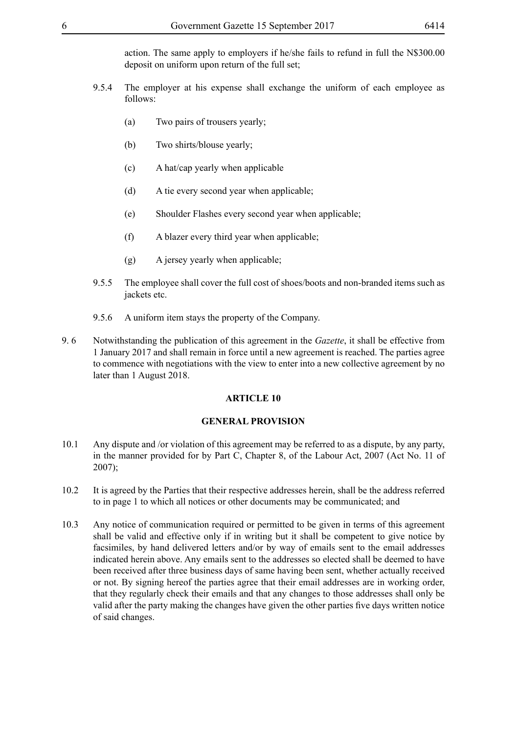action. The same apply to employers if he/she fails to refund in full the N\$300.00 deposit on uniform upon return of the full set;

- 9.5.4 The employer at his expense shall exchange the uniform of each employee as follows:
	- (a) Two pairs of trousers yearly;
	- (b) Two shirts/blouse yearly;
	- (c) A hat/cap yearly when applicable
	- (d) A tie every second year when applicable;
	- (e) Shoulder Flashes every second year when applicable;
	- (f) A blazer every third year when applicable;
	- (g) A jersey yearly when applicable;
- 9.5.5 The employee shall cover the full cost of shoes/boots and non-branded items such as jackets etc.
- 9.5.6 A uniform item stays the property of the Company.
- 9. 6 Notwithstanding the publication of this agreement in the *Gazette*, it shall be effective from 1 January 2017 and shall remain in force until a new agreement is reached. The parties agree to commence with negotiations with the view to enter into a new collective agreement by no later than 1 August 2018.

#### **ARTICLE 10**

#### **GENERAL PROVISION**

- 10.1 Any dispute and /or violation of this agreement may be referred to as a dispute, by any party, in the manner provided for by Part C, Chapter 8, of the Labour Act, 2007 (Act No. 11 of 2007);
- 10.2 It is agreed by the Parties that their respective addresses herein, shall be the address referred to in page 1 to which all notices or other documents may be communicated; and
- 10.3 Any notice of communication required or permitted to be given in terms of this agreement shall be valid and effective only if in writing but it shall be competent to give notice by facsimiles, by hand delivered letters and/or by way of emails sent to the email addresses indicated herein above. Any emails sent to the addresses so elected shall be deemed to have been received after three business days of same having been sent, whether actually received or not. By signing hereof the parties agree that their email addresses are in working order, that they regularly check their emails and that any changes to those addresses shall only be valid after the party making the changes have given the other parties five days written notice of said changes.